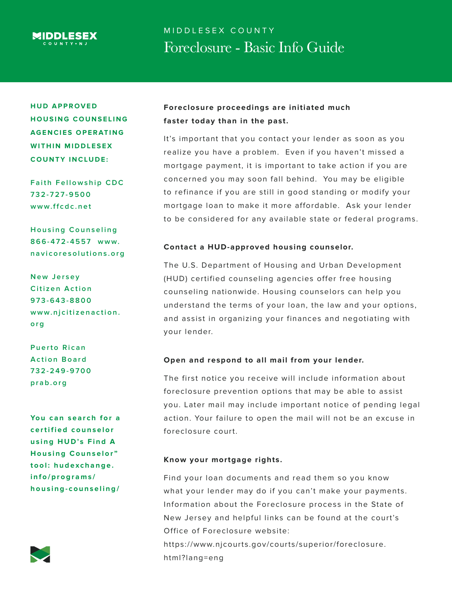

# MIDDLESEX COUNTY Foreclosure - Basic Info Guide

**HUD APPROVED HOUSING COUNSELING AGENCIES OPERATING WITHIN MIDDLESEX COUNTY INCLUDE:**

**Faith Fellowship CDC 7 3 2 - 7 2 7 - 9 5 0 0 www.ffcdc.net**

**Housing Counseling 866-472-4557 www. navicoresolutions.org**

**N e w J e r s e y Citizen Action 9 7 3 - 6 4 3 - 8 8 0 0 www.njcitizenaction. org**

**Puerto Rican Action Board 7 3 2 - 2 4 9 - 9 7 0 0 prab.org**

You can search for a **c e r t i f i e d c o u n s e l o r using HUD's Find A Housing Counselor" tool: hudexchange. info/programs/ housing-counseling/**



## **Foreclosure proceedings are initiated much faster today than in the past.**

It's important that you contact your lender as soon as you realize you have a problem. Even if you haven't missed a mortgage payment, it is important to take action if you are concerned you may soon fall behind. You may be eligible to refinance if you are still in good standing or modify your mortgage loan to make it more affordable. Ask your lender to be considered for any available state or federal programs.

#### **Contact a HUD-approved housing counselor.**

The U.S. Department of Housing and Urban Development (HUD) certified counseling agencies offer free housing counseling nationwide. Housing counselors can help you understand the terms of your loan, the law and your options, and assist in organizing your finances and negotiating with your lender.

#### **Open and respond to all mail from your lender.**

The first notice you receive will include information about foreclosure prevention options that may be able to assist you. Later mail may include important notice of pending legal action. Your failure to open the mail will not be an excuse in foreclosure court.

#### **Know your mortgage rights.**

Find your loan documents and read them so you know what your lender may do if you can't make your payments. Information about the Foreclosure process in the State of New Jersey and helpful links can be found at the court's Office of Foreclosure website: https://www.njcourts.gov/courts/superior/foreclosure. html?lang=eng